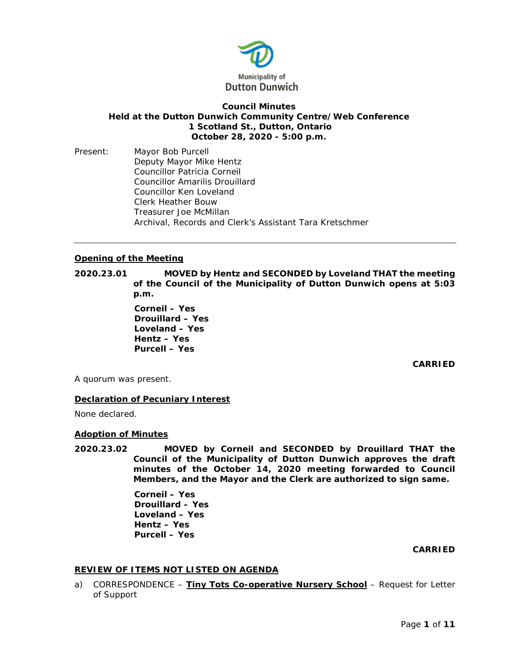

# **Council Minutes Held at the Dutton Dunwich Community Centre/Web Conference 1 Scotland St., Dutton, Ontario October 28, 2020 - 5:00 p.m.**

Present: Mayor Bob Purcell Deputy Mayor Mike Hentz Councillor Patricia Corneil Councillor Amarilis Drouillard Councillor Ken Loveland Clerk Heather Bouw Treasurer Joe McMillan Archival, Records and Clerk's Assistant Tara Kretschmer

# **Opening of the Meeting**

**2020.23.01 MOVED by Hentz and SECONDED by Loveland THAT the meeting of the Council of the Municipality of Dutton Dunwich opens at 5:03 p.m.**

> **Corneil – Yes Drouillard – Yes Loveland – Yes Hentz – Yes Purcell – Yes**

> > **CARRIED**

A quorum was present.

# **Declaration of Pecuniary Interest**

None declared.

## **Adoption of Minutes**

**2020.23.02 MOVED by Corneil and SECONDED by Drouillard THAT the Council of the Municipality of Dutton Dunwich approves the draft minutes of the October 14, 2020 meeting forwarded to Council Members, and the Mayor and the Clerk are authorized to sign same.**

> **Corneil – Yes Drouillard – Yes Loveland – Yes Hentz – Yes Purcell – Yes**

## **CARRIED**

# **REVIEW OF ITEMS NOT LISTED ON AGENDA**

a) CORRESPONDENCE – **Tiny Tots Co-operative Nursery School** – Request for Letter of Support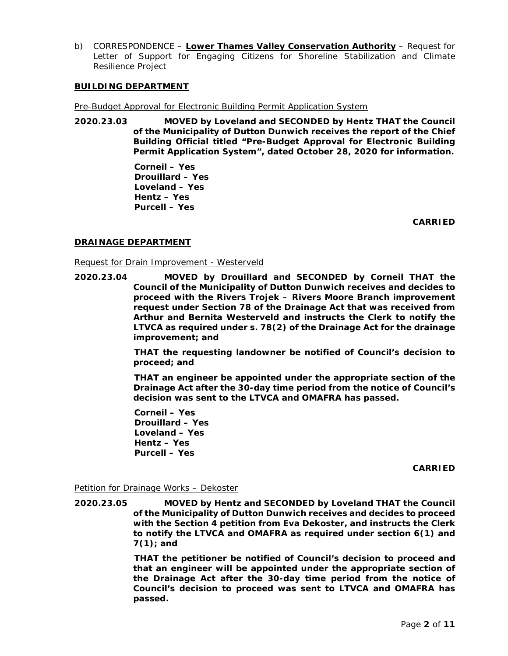b) CORRESPONDENCE – **Lower Thames Valley Conservation Authority** – Request for Letter of Support for Engaging Citizens for Shoreline Stabilization and Climate Resilience Project

## **BUILDING DEPARTMENT**

Pre-Budget Approval for Electronic Building Permit Application System

**2020.23.03 MOVED by Loveland and SECONDED by Hentz THAT the Council of the Municipality of Dutton Dunwich receives the report of the Chief Building Official titled "Pre-Budget Approval for Electronic Building Permit Application System", dated October 28, 2020 for information.**

> **Corneil – Yes Drouillard – Yes Loveland – Yes Hentz – Yes Purcell – Yes**

> > **CARRIED**

# **DRAINAGE DEPARTMENT**

Request for Drain Improvement - Westerveld

**2020.23.04 MOVED by Drouillard and SECONDED by Corneil THAT the Council of the Municipality of Dutton Dunwich receives and decides to proceed with the Rivers Trojek – Rivers Moore Branch improvement request under Section 78 of the Drainage Act that was received from Arthur and Bernita Westerveld and instructs the Clerk to notify the LTVCA as required under s. 78(2) of the Drainage Act for the drainage improvement; and**

> **THAT the requesting landowner be notified of Council's decision to proceed; and**

> **THAT an engineer be appointed under the appropriate section of the Drainage Act after the 30-day time period from the notice of Council's decision was sent to the LTVCA and OMAFRA has passed.**

**Corneil – Yes Drouillard – Yes Loveland – Yes Hentz – Yes Purcell – Yes** 

**CARRIED**

Petition for Drainage Works – Dekoster

**2020.23.05 MOVED by Hentz and SECONDED by Loveland THAT the Council of the Municipality of Dutton Dunwich receives and decides to proceed with the Section 4 petition from Eva Dekoster, and instructs the Clerk to notify the LTVCA and OMAFRA as required under section 6(1) and 7(1); and**

> **THAT the petitioner be notified of Council's decision to proceed and that an engineer will be appointed under the appropriate section of the Drainage Act after the 30-day time period from the notice of Council's decision to proceed was sent to LTVCA and OMAFRA has passed.**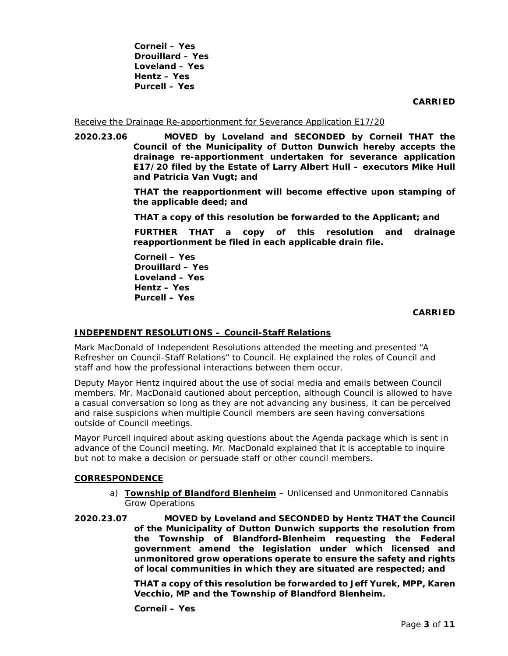**Corneil – Yes Drouillard – Yes Loveland – Yes Hentz – Yes Purcell – Yes** 

## **CARRIED**

#### Receive the Drainage Re-apportionment for Severance Application E17/20

**2020.23.06 MOVED by Loveland and SECONDED by Corneil THAT the Council of the Municipality of Dutton Dunwich hereby accepts the drainage re-apportionment undertaken for severance application E17/20 filed by the Estate of Larry Albert Hull – executors Mike Hull and Patricia Van Vugt; and**

> **THAT the reapportionment will become effective upon stamping of the applicable deed; and**

**THAT a copy of this resolution be forwarded to the Applicant; and**

**FURTHER THAT a copy of this resolution and drainage reapportionment be filed in each applicable drain file.**

**Corneil – Yes Drouillard – Yes Loveland – Yes Hentz – Yes Purcell – Yes** 

## **CARRIED**

## **INDEPENDENT RESOLUTIONS – Council-Staff Relations**

Mark MacDonald of Independent Resolutions attended the meeting and presented "A Refresher on Council-Staff Relations" to Council. He explained the roles-of Council and staff and how the professional interactions between them occur.

Deputy Mayor Hentz inquired about the use of social media and emails between Council members. Mr. MacDonald cautioned about perception, although Council is allowed to have a casual conversation so long as they are not advancing any business, it can be perceived and raise suspicions when multiple Council members are seen having conversations outside of Council meetings.

Mayor Purcell inquired about asking questions about the Agenda package which is sent in advance of the Council meeting. Mr. MacDonald explained that it is acceptable to inquire but not to make a decision or persuade staff or other council members.

# **CORRESPONDENCE**

- a) **Township of Blandford Blenheim** Unlicensed and Unmonitored Cannabis Grow Operations
- **2020.23.07 MOVED by Loveland and SECONDED by Hentz THAT the Council of the Municipality of Dutton Dunwich supports the resolution from the Township of Blandford-Blenheim requesting the Federal government amend the legislation under which licensed and unmonitored grow operations operate to ensure the safety and rights of local communities in which they are situated are respected; and**

**THAT a copy of this resolution be forwarded to Jeff Yurek, MPP, Karen Vecchio, MP and the Township of Blandford Blenheim.**

**Corneil – Yes**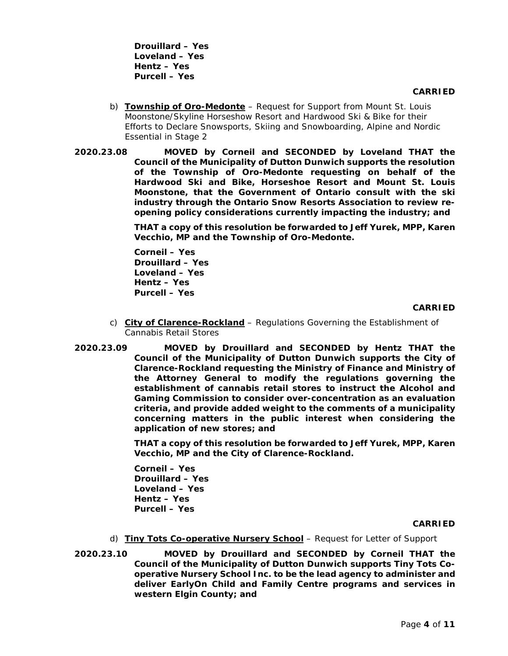**Drouillard – Yes Loveland – Yes Hentz – Yes Purcell – Yes** 

- b) **Township of Oro-Medonte** Request for Support from Mount St. Louis Moonstone/Skyline Horseshow Resort and Hardwood Ski & Bike for their Efforts to Declare Snowsports, Skiing and Snowboarding, Alpine and Nordic Essential in Stage 2
- **2020.23.08 MOVED by Corneil and SECONDED by Loveland THAT the Council of the Municipality of Dutton Dunwich supports the resolution of the Township of Oro-Medonte requesting on behalf of the Hardwood Ski and Bike, Horseshoe Resort and Mount St. Louis Moonstone, that the Government of Ontario consult with the ski industry through the Ontario Snow Resorts Association to review reopening policy considerations currently impacting the industry; and**

**THAT a copy of this resolution be forwarded to Jeff Yurek, MPP, Karen Vecchio, MP and the Township of Oro-Medonte.**

**Corneil – Yes Drouillard – Yes Loveland – Yes Hentz – Yes Purcell – Yes** 

#### **CARRIED**

- c) **City of Clarence-Rockland** Regulations Governing the Establishment of Cannabis Retail Stores
- **2020.23.09 MOVED by Drouillard and SECONDED by Hentz THAT the Council of the Municipality of Dutton Dunwich supports the City of Clarence-Rockland requesting the Ministry of Finance and Ministry of the Attorney General to modify the regulations governing the establishment of cannabis retail stores to instruct the Alcohol and Gaming Commission to consider over-concentration as an evaluation criteria, and provide added weight to the comments of a municipality concerning matters in the public interest when considering the application of new stores; and**

**THAT a copy of this resolution be forwarded to Jeff Yurek, MPP, Karen Vecchio, MP and the City of Clarence-Rockland.**

**Corneil – Yes Drouillard – Yes Loveland – Yes Hentz – Yes Purcell – Yes** 

#### **CARRIED**

- d) **Tiny Tots Co-operative Nursery School** Request for Letter of Support
- **2020.23.10 MOVED by Drouillard and SECONDED by Corneil THAT the Council of the Municipality of Dutton Dunwich supports Tiny Tots Cooperative Nursery School Inc. to be the lead agency to administer and deliver EarlyOn Child and Family Centre programs and services in western Elgin County; and**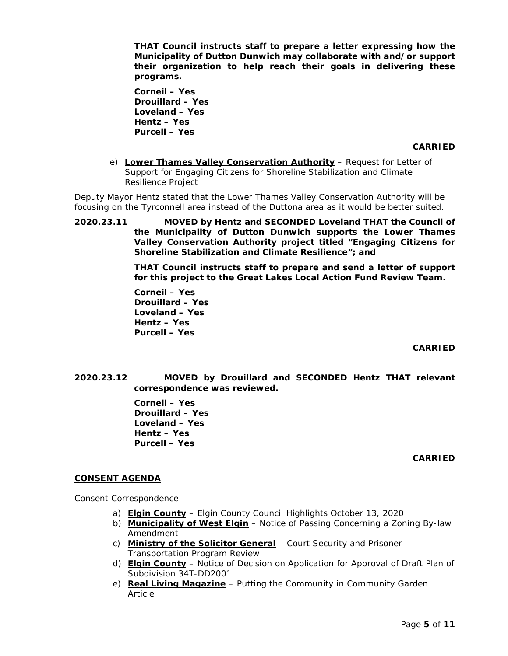**THAT Council instructs staff to prepare a letter expressing how the Municipality of Dutton Dunwich may collaborate with and/or support their organization to help reach their goals in delivering these programs.** 

**Corneil – Yes Drouillard – Yes Loveland – Yes Hentz – Yes Purcell – Yes** 

#### **CARRIED**

e) **Lower Thames Valley Conservation Authority** – Request for Letter of Support for Engaging Citizens for Shoreline Stabilization and Climate Resilience Project

Deputy Mayor Hentz stated that the Lower Thames Valley Conservation Authority will be focusing on the Tyrconnell area instead of the Duttona area as it would be better suited.

**2020.23.11 MOVED by Hentz and SECONDED Loveland THAT the Council of the Municipality of Dutton Dunwich supports the Lower Thames Valley Conservation Authority project titled "Engaging Citizens for Shoreline Stabilization and Climate Resilience"; and**

> **THAT Council instructs staff to prepare and send a letter of support for this project to the Great Lakes Local Action Fund Review Team.**

**Corneil – Yes Drouillard – Yes Loveland – Yes Hentz – Yes Purcell – Yes** 

**CARRIED**

**2020.23.12 MOVED by Drouillard and SECONDED Hentz THAT relevant correspondence was reviewed.**

> **Corneil – Yes Drouillard – Yes Loveland – Yes Hentz – Yes Purcell – Yes**

## **CARRIED**

## **CONSENT AGENDA**

Consent Correspondence

- a) **Elgin County** Elgin County Council Highlights October 13, 2020
- b) **Municipality of West Elgin** Notice of Passing Concerning a Zoning By-law Amendment
- c) **Ministry of the Solicitor General** Court Security and Prisoner Transportation Program Review
- d) **Elgin County** Notice of Decision on Application for Approval of Draft Plan of Subdivision 34T-DD2001
- e) **Real Living Magazine** Putting the Community in Community Garden Article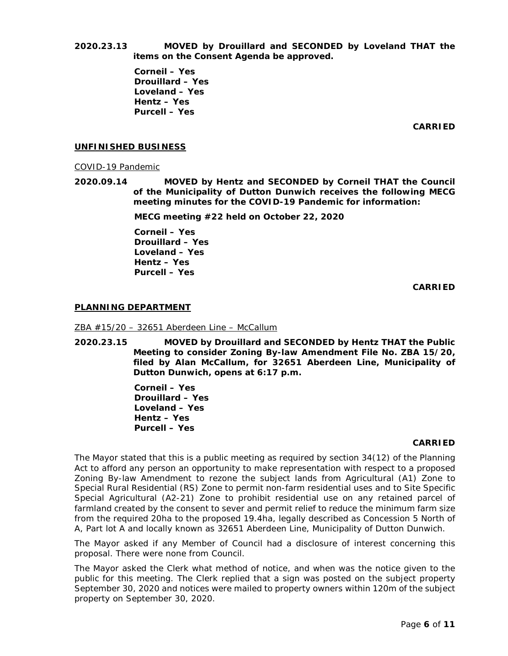**2020.23.13 MOVED by Drouillard and SECONDED by Loveland THAT the items on the Consent Agenda be approved.**

> **Corneil – Yes Drouillard – Yes Loveland – Yes Hentz – Yes Purcell – Yes**

> > **CARRIED**

## **UNFINISHED BUSINESS**

COVID-19 Pandemic

**2020.09.14 MOVED by Hentz and SECONDED by Corneil THAT the Council of the Municipality of Dutton Dunwich receives the following MECG meeting minutes for the COVID-19 Pandemic for information:**

**MECG meeting #22 held on October 22, 2020**

**Corneil – Yes Drouillard – Yes Loveland – Yes Hentz – Yes Purcell – Yes** 

**CARRIED**

## **PLANNING DEPARTMENT**

ZBA #15/20 – 32651 Aberdeen Line – McCallum

**2020.23.15 MOVED by Drouillard and SECONDED by Hentz THAT the Public Meeting to consider Zoning By-law Amendment File No. ZBA 15/20, filed by Alan McCallum, for 32651 Aberdeen Line, Municipality of Dutton Dunwich, opens at 6:17 p.m.**

> **Corneil – Yes Drouillard – Yes Loveland – Yes Hentz – Yes Purcell – Yes**

## **CARRIED**

The Mayor stated that this is a public meeting as required by section 34(12) of the Planning Act to afford any person an opportunity to make representation with respect to a proposed Zoning By-law Amendment to rezone the subject lands from Agricultural (A1) Zone to Special Rural Residential (RS) Zone to permit non-farm residential uses and to Site Specific Special Agricultural (A2-21) Zone to prohibit residential use on any retained parcel of farmland created by the consent to sever and permit relief to reduce the minimum farm size from the required 20ha to the proposed 19.4ha, legally described as Concession 5 North of A, Part lot A and locally known as 32651 Aberdeen Line, Municipality of Dutton Dunwich.

The Mayor asked if any Member of Council had a disclosure of interest concerning this proposal. There were none from Council.

The Mayor asked the Clerk what method of notice, and when was the notice given to the public for this meeting. The Clerk replied that a sign was posted on the subject property September 30, 2020 and notices were mailed to property owners within 120m of the subject property on September 30, 2020.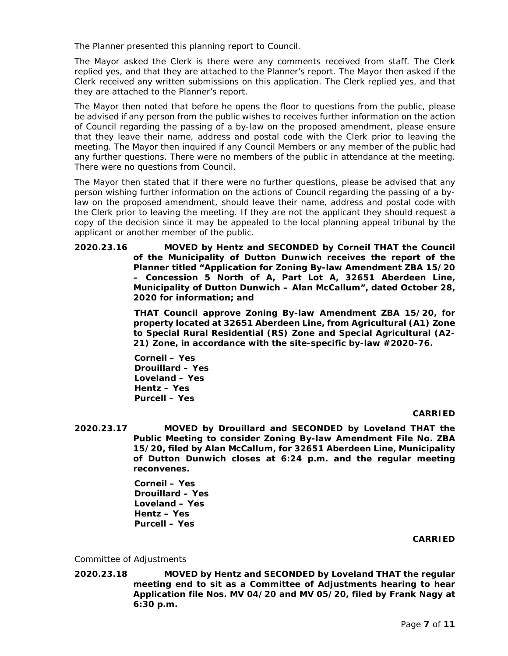The Planner presented this planning report to Council.

The Mayor asked the Clerk is there were any comments received from staff. The Clerk replied yes, and that they are attached to the Planner's report. The Mayor then asked if the Clerk received any written submissions on this application. The Clerk replied yes, and that they are attached to the Planner's report.

The Mayor then noted that before he opens the floor to questions from the public, please be advised if any person from the public wishes to receives further information on the action of Council regarding the passing of a by-law on the proposed amendment, please ensure that they leave their name, address and postal code with the Clerk prior to leaving the meeting. The Mayor then inquired if any Council Members or any member of the public had any further questions. There were no members of the public in attendance at the meeting. There were no questions from Council.

The Mayor then stated that if there were no further questions, please be advised that any person wishing further information on the actions of Council regarding the passing of a bylaw on the proposed amendment, should leave their name, address and postal code with the Clerk prior to leaving the meeting. If they are not the applicant they should request a copy of the decision since it may be appealed to the local planning appeal tribunal by the applicant or another member of the public.

**2020.23.16 MOVED by Hentz and SECONDED by Corneil THAT the Council of the Municipality of Dutton Dunwich receives the report of the Planner titled "Application for Zoning By-law Amendment ZBA 15/20 – Concession 5 North of A, Part Lot A, 32651 Aberdeen Line, Municipality of Dutton Dunwich – Alan McCallum", dated October 28, 2020 for information; and**

> **THAT Council approve Zoning By-law Amendment ZBA 15/20, for property located at 32651 Aberdeen Line, from Agricultural (A1) Zone to Special Rural Residential (RS) Zone and Special Agricultural (A2- 21) Zone, in accordance with the site-specific by-law #2020-76.**

**Corneil – Yes Drouillard – Yes Loveland – Yes Hentz – Yes Purcell – Yes** 

## **CARRIED**

**2020.23.17 MOVED by Drouillard and SECONDED by Loveland THAT the Public Meeting to consider Zoning By-law Amendment File No. ZBA 15/20, filed by Alan McCallum, for 32651 Aberdeen Line, Municipality of Dutton Dunwich closes at 6:24 p.m. and the regular meeting reconvenes.**

> **Corneil – Yes Drouillard – Yes Loveland – Yes Hentz – Yes Purcell – Yes**

## **CARRIED**

## Committee of Adjustments

**2020.23.18 MOVED by Hentz and SECONDED by Loveland THAT the regular meeting end to sit as a Committee of Adjustments hearing to hear Application file Nos. MV 04/20 and MV 05/20, filed by Frank Nagy at 6:30 p.m.**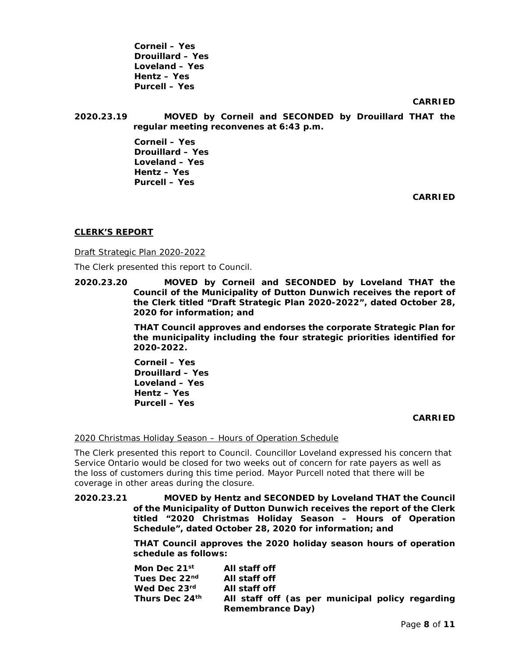**Corneil – Yes Drouillard – Yes Loveland – Yes Hentz – Yes Purcell – Yes** 

**CARRIED**

**2020.23.19 MOVED by Corneil and SECONDED by Drouillard THAT the regular meeting reconvenes at 6:43 p.m.**

> **Corneil – Yes Drouillard – Yes Loveland – Yes Hentz – Yes Purcell – Yes**

> > **CARRIED**

# **CLERK'S REPORT**

Draft Strategic Plan 2020-2022

The Clerk presented this report to Council.

**2020.23.20 MOVED by Corneil and SECONDED by Loveland THAT the Council of the Municipality of Dutton Dunwich receives the report of the Clerk titled "Draft Strategic Plan 2020-2022", dated October 28, 2020 for information; and**

> **THAT Council approves and endorses the corporate Strategic Plan for the municipality including the four strategic priorities identified for 2020-2022.**

**Corneil – Yes Drouillard – Yes Loveland – Yes Hentz – Yes Purcell – Yes** 

## **CARRIED**

2020 Christmas Holiday Season – Hours of Operation Schedule

The Clerk presented this report to Council. Councillor Loveland expressed his concern that Service Ontario would be closed for two weeks out of concern for rate payers as well as the loss of customers during this time period. Mayor Purcell noted that there will be coverage in other areas during the closure.

**2020.23.21 MOVED by Hentz and SECONDED by Loveland THAT the Council of the Municipality of Dutton Dunwich receives the report of the Clerk titled "2020 Christmas Holiday Season – Hours of Operation Schedule", dated October 28, 2020 for information; and**

> **THAT Council approves the 2020 holiday season hours of operation schedule as follows:**

| Mon Dec 21st              | All staff off                                    |
|---------------------------|--------------------------------------------------|
| Tues Dec 22 <sup>nd</sup> | All staff off                                    |
| Wed Dec 23rd              | All staff off                                    |
| Thurs Dec 24th            | All staff off (as per municipal policy regarding |
|                           | <b>Remembrance Day)</b>                          |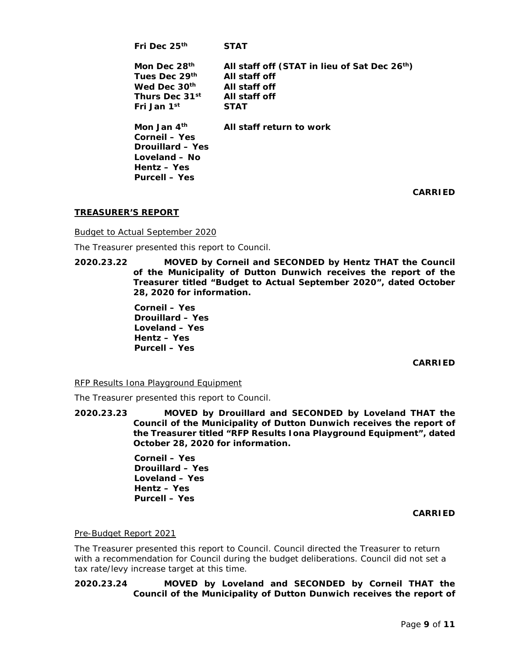| Fri Dec 25 <sup>th</sup>   | <b>STAT</b>                                               |
|----------------------------|-----------------------------------------------------------|
| Mon Dec 28th               | All staff off (STAT in lieu of Sat Dec 26 <sup>th</sup> ) |
| Tues Dec 29th              | All staff off                                             |
| Wed Dec 30th               | All staff off                                             |
| Thurs Dec 31 <sup>st</sup> | All staff off                                             |
| Fri Jan 1st                | <b>STAT</b>                                               |
| Mon Jan $4th$              | All staff return to work                                  |
| <b>Corneil - Yes</b>       |                                                           |
| Drouillard - Yes           |                                                           |
| Loveland – No              |                                                           |
| Hentz - Yes                |                                                           |
| <b>Purcell – Yes</b>       |                                                           |

**CARRIED**

# **TREASURER'S REPORT**

Budget to Actual September 2020

The Treasurer presented this report to Council.

**2020.23.22 MOVED by Corneil and SECONDED by Hentz THAT the Council of the Municipality of Dutton Dunwich receives the report of the Treasurer titled "Budget to Actual September 2020", dated October 28, 2020 for information.**

> **Corneil – Yes Drouillard – Yes Loveland – Yes Hentz – Yes Purcell – Yes**

> > **CARRIED**

RFP Results Iona Playground Equipment

The Treasurer presented this report to Council.

**2020.23.23 MOVED by Drouillard and SECONDED by Loveland THAT the Council of the Municipality of Dutton Dunwich receives the report of the Treasurer titled "RFP Results Iona Playground Equipment", dated October 28, 2020 for information.**

> **Corneil – Yes Drouillard – Yes Loveland – Yes Hentz – Yes Purcell – Yes**

## **CARRIED**

## Pre-Budget Report 2021

The Treasurer presented this report to Council. Council directed the Treasurer to return with a recommendation for Council during the budget deliberations. Council did not set a tax rate/levy increase target at this time.

# **2020.23.24 MOVED by Loveland and SECONDED by Corneil THAT the Council of the Municipality of Dutton Dunwich receives the report of**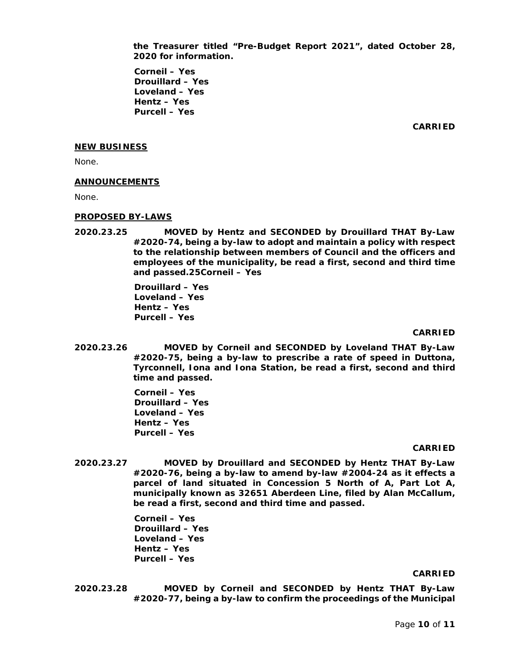**the Treasurer titled "Pre-Budget Report 2021", dated October 28, 2020 for information.**

**Corneil – Yes Drouillard – Yes Loveland – Yes Hentz – Yes Purcell – Yes** 

**CARRIED**

#### **NEW BUSINESS**

None.

#### **ANNOUNCEMENTS**

None.

#### **PROPOSED BY-LAWS**

**2020.23.25 MOVED by Hentz and SECONDED by Drouillard THAT By-Law #2020-74, being a by-law to adopt and maintain a policy with respect to the relationship between members of Council and the officers and employees of the municipality, be read a first, second and third time and passed.25Corneil – Yes**

> **Drouillard – Yes Loveland – Yes Hentz – Yes Purcell – Yes**

#### **CARRIED**

**2020.23.26 MOVED by Corneil and SECONDED by Loveland THAT By-Law #2020-75, being a by-law to prescribe a rate of speed in Duttona, Tyrconnell, Iona and Iona Station, be read a first, second and third time and passed.**

> **Corneil – Yes Drouillard – Yes Loveland – Yes Hentz – Yes Purcell – Yes**

#### **CARRIED**

**2020.23.27 MOVED by Drouillard and SECONDED by Hentz THAT By-Law #2020-76, being a by-law to amend by-law #2004-24 as it effects a parcel of land situated in Concession 5 North of A, Part Lot A, municipally known as 32651 Aberdeen Line, filed by Alan McCallum, be read a first, second and third time and passed.**

> **Corneil – Yes Drouillard – Yes Loveland – Yes Hentz – Yes Purcell – Yes**

#### **CARRIED**

**2020.23.28 MOVED by Corneil and SECONDED by Hentz THAT By-Law #2020-77, being a by-law to confirm the proceedings of the Municipal**